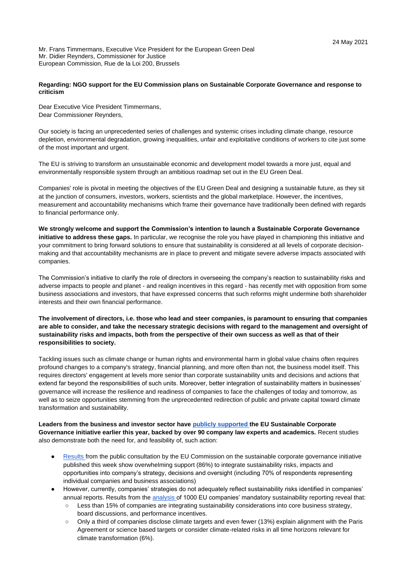Mr. Frans Timmermans, Executive Vice President for the European Green Deal Mr. Didier Reynders, Commissioner for Justice European Commission, Rue de la Loi 200, Brussels

## **Regarding: NGO support for the EU Commission plans on Sustainable Corporate Governance and response to criticism**

Dear Executive Vice President Timmermans, Dear Commissioner Reynders,

Our society is facing an unprecedented series of challenges and systemic crises including climate change, resource depletion, environmental degradation, growing inequalities, unfair and exploitative conditions of workers to cite just some of the most important and urgent.

The EU is striving to transform an unsustainable economic and development model towards a more just, equal and environmentally responsible system through an ambitious roadmap set out in the EU Green Deal.

Companies' role is pivotal in meeting the objectives of the EU Green Deal and designing a sustainable future, as they sit at the junction of consumers, investors, workers, scientists and the global marketplace. However, the incentives, measurement and accountability mechanisms which frame their governance have traditionally been defined with regards to financial performance only.

**We strongly welcome and support the Commission's intention to launch a Sustainable Corporate Governance initiative to address these gaps.** In particular, we recognise the role you have played in championing this initiative and your commitment to bring forward solutions to ensure that sustainability is considered at all levels of corporate decisionmaking and that accountability mechanisms are in place to prevent and mitigate severe adverse impacts associated with companies.

The Commission's initiative to clarify the role of directors in overseeing the company's reaction to sustainability risks and adverse impacts to people and planet - and realign incentives in this regard - has recently met with opposition from some business associations and investors, that have expressed concerns that such reforms might undermine both shareholder interests and their own financial performance.

## **The involvement of directors, i.e. those who lead and steer companies, is paramount to ensuring that companies are able to consider, and take the necessary strategic decisions with regard to the management and oversight of sustainability risks and impacts, both from the perspective of their own success as well as that of their responsibilities to society.**

Tackling issues such as climate change or human rights and environmental harm in global value chains often requires profound changes to a company's strategy, financial planning, and more often than not, the business model itself. This requires directors' engagement at levels more senior than corporate sustainability units and decisions and actions that extend far beyond the responsibilities of such units. Moreover, better integration of sustainability matters in businesses' governance will increase the resilience and readiness of companies to face the challenges of today and tomorrow, as well as to seize opportunities stemming from the unprecedented redirection of public and private capital toward climate transformation and sustainability.

**Leaders from the business and investor sector have [publicly supported t](https://corpgov.law.harvard.edu/2021/03/09/call-to-action-on-sustainable-corporate-governance/)he EU Sustainable Corporate Governance initiative earlier this year, backed by over 90 company law experts and academics.** Recent studies also demonstrate both the need for, and feasibility of, such action:

- [Results f](https://ec.europa.eu/info/law/better-regulation/have-your-say/initiatives/12548-Sustainable-corporate-governance/public-consultation_en)rom the public consultation by the EU Commission on the sustainable corporate governance initiative published this week show overwhelming support (86%) to integrate sustainability risks, impacts and opportunities into company's strategy, decisions and oversight (including 70% of respondents representing individual companies and business associations)
- However, currently, companies' strategies do not adequately reflect sustainability risks identified in companies' annual reports. Results from the [analysis o](https://www.allianceforcorporatetransparency.org/)f 1000 EU companies' mandatory sustainability reporting reveal that:
	- Less than 15% of companies are integrating sustainability considerations into core business strategy, board discussions, and performance incentives.
	- Only a third of companies disclose climate targets and even fewer (13%) explain alignment with the Paris Agreement or science based targets or consider climate-related risks in all time horizons relevant for climate transformation (6%).